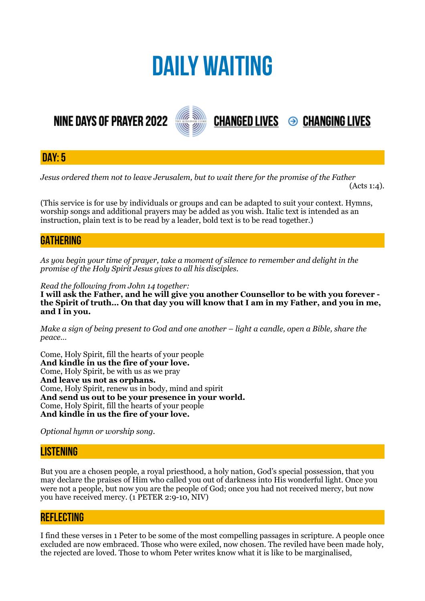# **DAILY WAITING**

# **NINE DAYS OF PRAYER 2022**



**DAY: 5**

*Jesus ordered them not to leave Jerusalem, but to wait there for the promise of the Father* 

 $(Acts 1:4)$ .

**CHANGED LIVES 
<sup>●</sup> CHANGING LIVES** 

(This service is for use by individuals or groups and can be adapted to suit your context. Hymns, worship songs and additional prayers may be added as you wish. Italic text is intended as an instruction, plain text is to be read by a leader, bold text is to be read together.)

### **GATHERING**

*As you begin your time of prayer, take a moment of silence to remember and delight in the promise of the Holy Spirit Jesus gives to all his disciples.*

*Read the following from John 14 together:* 

**I will ask the Father, and he will give you another Counsellor to be with you forever the Spirit of truth… On that day you will know that I am in my Father, and you in me, and I in you.** 

*Make a sign of being present to God and one another – light a candle, open a Bible, share the peace…* 

Come, Holy Spirit, fill the hearts of your people **And kindle in us the fire of your love.**  Come, Holy Spirit, be with us as we pray **And leave us not as orphans.**  Come, Holy Spirit, renew us in body, mind and spirit **And send us out to be your presence in your world.**  Come, Holy Spirit, fill the hearts of your people **And kindle in us the fire of your love.** 

*Optional hymn or worship song.* 

#### **LISTENING**

But you are a chosen people, a royal priesthood, a holy nation, God's special possession, that you may declare the praises of Him who called you out of darkness into His wonderful light. Once you were not a people, but now you are the people of God; once you had not received mercy, but now you have received mercy. (1 PETER 2:9-10, NIV)

#### **REFLECTING**

I find these verses in 1 Peter to be some of the most compelling passages in scripture. A people once excluded are now embraced. Those who were exiled, now chosen. The reviled have been made holy, the rejected are loved. Those to whom Peter writes know what it is like to be marginalised,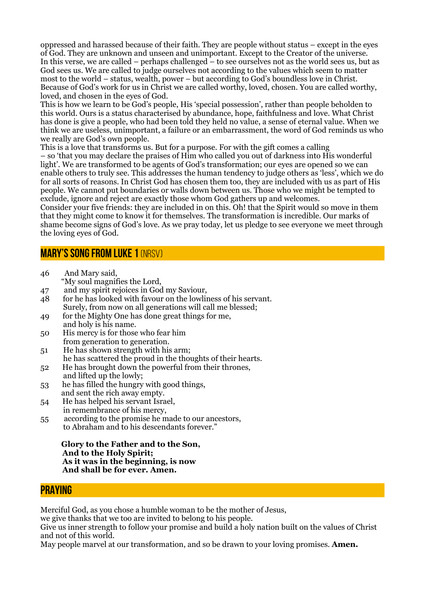oppressed and harassed because of their faith. They are people without status – except in the eyes of God. They are unknown and unseen and unimportant. Except to the Creator of the universe. In this verse, we are called – perhaps challenged – to see ourselves not as the world sees us, but as God sees us. We are called to judge ourselves not according to the values which seem to matter most to the world – status, wealth, power – but according to God's boundless love in Christ. Because of God's work for us in Christ we are called worthy, loved, chosen. You are called worthy, loved, and chosen in the eyes of God.

This is how we learn to be God's people, His 'special possession', rather than people beholden to this world. Ours is a status characterised by abundance, hope, faithfulness and love. What Christ has done is give a people, who had been told they held no value, a sense of eternal value. When we think we are useless, unimportant, a failure or an embarrassment, the word of God reminds us who we really are God's own people.

This is a love that transforms us. But for a purpose. For with the gift comes a calling – so 'that you may declare the praises of Him who called you out of darkness into His wonderful light'. We are transformed to be agents of God's transformation; our eyes are opened so we can enable others to truly see. This addresses the human tendency to judge others as 'less', which we do for all sorts of reasons. In Christ God has chosen them too, they are included with us as part of His people. We cannot put boundaries or walls down between us. Those who we might be tempted to exclude, ignore and reject are exactly those whom God gathers up and welcomes.

Consider your five friends: they are included in on this. Oh! that the Spirit would so move in them that they might come to know it for themselves. The transformation is incredible. Our marks of shame become signs of God's love. As we pray today, let us pledge to see everyone we meet through the loving eyes of God.

## **Mary's Song from Luke 1** (NRSV)

- 46 And Mary said, "My soul magnifies the Lord,
- 47 and my spirit rejoices in God my Saviour,
- 48 for he has looked with favour on the lowliness of his servant. Surely, from now on all generations will call me blessed;
- 49 for the Mighty One has done great things for me, and holy is his name.
- 50 His mercy is for those who fear him from generation to generation.
- 51 He has shown strength with his arm; he has scattered the proud in the thoughts of their hearts.
- 52 He has brought down the powerful from their thrones, and lifted up the lowly;
- 53 he has filled the hungry with good things, and sent the rich away empty.
- 54 He has helped his servant Israel, in remembrance of his mercy,
- 55 according to the promise he made to our ancestors, to Abraham and to his descendants forever."

 **Glory to the Father and to the Son, And to the Holy Spirit; As it was in the beginning, is now And shall be for ever. Amen.**

#### **PRAYING**

Merciful God, as you chose a humble woman to be the mother of Jesus,

we give thanks that we too are invited to belong to his people.

Give us inner strength to follow your promise and build a holy nation built on the values of Christ and not of this world.

May people marvel at our transformation, and so be drawn to your loving promises. **Amen.**